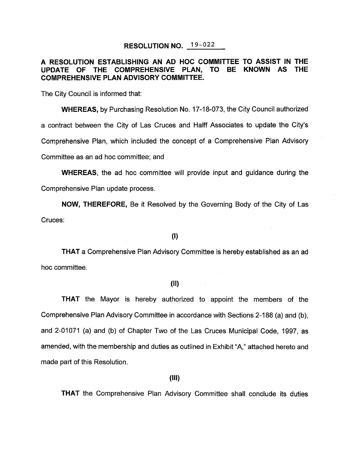#### RESOLUTION NO. 19-022

# A RESOLUTION ESTABLISHING AN AD HOC COMMITTEE TO ASSIST IN THE UPDATE OF THE COMPREHENSIVE PLAN, TO BE KNOWN AS THE COMPREHENSIVE PLAN ADVISORY COMMITTEE.

The City Council is informed that:

WHEREAS, by Purchasing Resolution No. 17-18-073, the City Council authorized a contract between the City of Las Cruces and Halff Associates to update the City's Comprehensive Plan, which included the concept of. a Comprehensive Plan Advisory Committee as an ad hoc committee; and

WHEREAS, the ad hoc committee will provide input and guidance during the Comprehensive Plan update process.

NOW, THEREFORE, Be it Resolved by the Governing Body of the City of Las Cruces:

#### $(1)$

THAT a Comprehensive Plan Advisory Committee is hereby established as an ad hoc committee.

#### $(II)$

THAT the Mayor is hereby authorized to appoint the members of the Comprehensive Plan Advisory Committee in accordance with Sections 2-188 (a) and (b), and 2-01071 (a) and (b) of Chapter Two of the Las Cruces Municipal Code, 1997, as amended, with the membership and duties as outlined in Exhibit " A," attached hereto and made part of this Resolution.

#### $(III)$

THAT the Comprehensive Plan Advisory Committee shall conclude its duties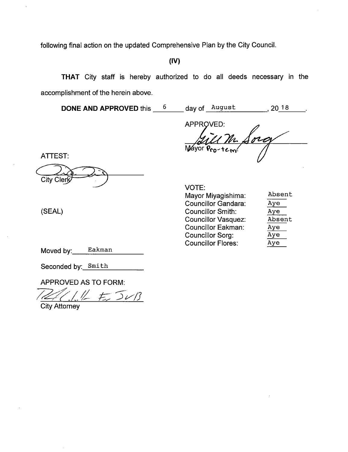following final action on the updated Comprehensive Plan by the City Council.

 $(IV)$ 

THAT City staff is hereby authorized to do all deeds necessary in the accomplishment of the herein above.

**DONE AND APPROVED** this  $\frac{6}{20}$  day of  $\frac{August}{20}$ , 20 18

APPROVED: Will M. Sorg

ATTEST:



SEAL)

Moved by: Eakman

Seconded by: Smith

APPROVED AS TO FORM:

 $11.16 \pm 501$ 

**City Attorney** 

| VOTE:                      |        |
|----------------------------|--------|
| Mayor Miyagishima:         | Absent |
| <b>Councillor Gandara:</b> | Aye    |
| <b>Councillor Smith:</b>   | Aye    |
| <b>Councillor Vasquez:</b> | Absent |
| Councillor Eakman:         | Aye    |
| <b>Councillor Sorg:</b>    | Aye    |
| <b>Councillor Flores:</b>  | Aye    |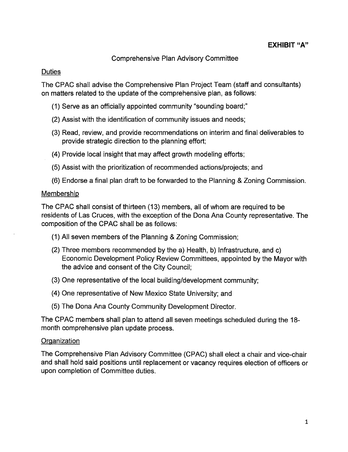# Comprehensive Plan Advisory Committee

# **Duties**

The CPAC shall advise the Comprehensive Plan Project Team ( staff and consultants) on matters related to the update of the comprehensive plan, as follows:

- 1) Serve as an officially appointed community "sounding board;"
- 2) Assist with the identification of community issues and needs;
- 3) Read, review, and provide recommendations on interim and final deliverables to provide strategic direction to the planning effort;
- 4) Provide local insight that may affect growth modeling efforts;
- (5) Assist with the prioritization of recommended actions/projects; and
- 6) Endorse a final plan draft to be forwarded to the Planning\_& Zoning Commission.

# **Membership**

The CPAC shall consist of thirteen ( 13) members, all of whom are required to be residents of Las Cruces, with the exception of the Dona Ana County representative. The composition of the CPAC shall be as follows:

- 1) All seven members of the Planning & Zoning Commission;
- 2) Three members recommended by the a) Health, b) Infrastructure, and c) Economic Development Policy Review Committees, appointed by the Mayor with the advice and consent of the City Council;
- 3) One representative of the local building/development community;
- 4) One representative of New Mexico State University; and
- 5) The Dona Ana County Community Development Director.

The CPAC members shall plan to attend all seven meetings scheduled during the 18 month comprehensive plan update process.

# **Organization**

The Comprehensive Plan Advisory Committee ( CPAC) shall elect a chair and vice -chair and shall hold said positions until replacement or vacancy requires election of officers or upon completion of Committee duties.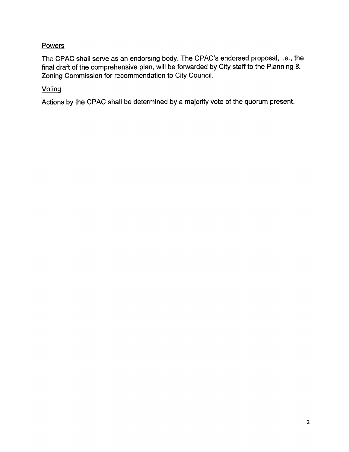# **Powers**

 $\cdot$ 

The CPAC shall serve as an endorsing body. The CPAC's endorsed proposal, i.e., the final draft of the comprehensive plan, will be forwarded by City staff to the Planning & Zoning Commission for recommendation to City Council.

# **Voting**

Actions by the CPAC shall be determined by a majority vote of the quorum present.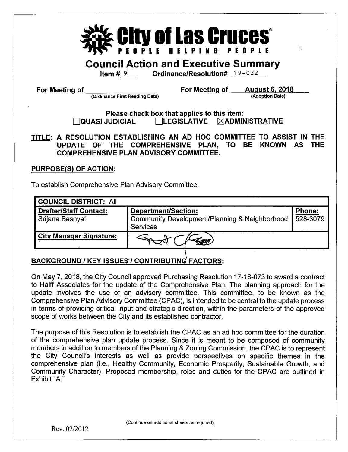

# **Council Action and Executive Summary**<br>ltem # 9 0rdinance/Resolution# 19-022

Ordinance/Resolution# 19-022

For Meeting of

Ordinance First Reading Date)

For Meeting of **August 6, 2018** Adoption Date)

Please check box that applies to this item:  $\overline{\phantom{a}}$ QUASI JUDICIAL $\qquad \qquad \Box$ LEGISLATIVE  $\qquad$  $\boxtimes$ ADMINISTRATIVE

TITLE: A RESOLUTION ESTABLISHING AN AD HOC COMMITTEE TO ASSIST IN THE UPDATE OF THE COMPREHENSIVE PLAN, TO BE KNOWN AS THE COMPREHENSIVE PLAN ADVISORY COMMITTEE.

PURPOSE(S) OF ACTION:

To establish Comprehensive Plan Advisory Committee.

| <b>COUNCIL DISTRICT: All</b>                     |                                                                                                |                             |
|--------------------------------------------------|------------------------------------------------------------------------------------------------|-----------------------------|
| <b>Drafter/Staff Contact:</b><br>Srijana Basnyat | <b>Department/Section:</b><br>Community Development/Planning & Neighborhood<br><b>Services</b> | <b>Phone:</b><br>  528-3079 |
| <b>City Manager Signature:</b>                   |                                                                                                |                             |

# **BACKGROUND / KEY ISSUES / CONTRIBUTING FACTORS:**

On May 7, 2018, the City Council approved Purchasing Resolution 17-18-073 to award a contract to Halff Associates for the update of the Comprehensive Plan. The planning approach for the update involves the use of an advisory committee. This committee, to be known as the Comprehensive Plan Advisory Committee ( CPAC), is intended to be central to the update process in terms of providing critical input and strategic direction, within the parameters of the approved scope of works between the City and its established contractor.

The purpose of this Resolution is to establish the CPAC as an ad hoc committee for the duration of the comprehensive plan update process. Since it is meant to be composed of community members in addition to members of the Planning & Zoning Commission, the CPAC is to represent the City Council's interests as well as provide perspectives on specific themes in the comprehensive plan (i.e., Healthy Community, Economic Prosperity, Sustainable Growth, and Community Character). Proposed membership, roles and duties for t he CPAC are outlined inExhibit "A."

Continue on additional sheets as required)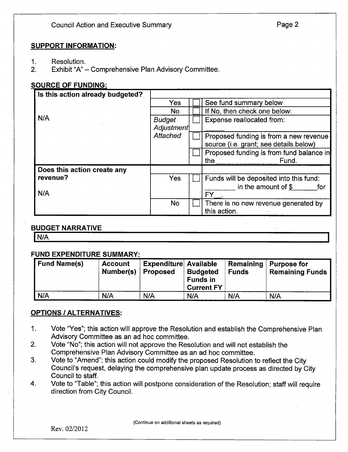# SUPPORT INFORMATION:

- 1. Resolution.
- 2. Exhibit "A" Comprehensive Plan Advisory Committee.

# SOURCE OF FUNDING:

| Is this action already budgeted? |                             |                                                                                  |
|----------------------------------|-----------------------------|----------------------------------------------------------------------------------|
|                                  | Yes                         | See fund summary below                                                           |
|                                  | <b>No</b>                   | If No, then check one below:                                                     |
| N/A                              | <b>Budget</b><br>Adjustment | Expense reallocated from:                                                        |
|                                  | Attached                    | Proposed funding is from a new revenue<br>source (i.e. grant; see details below) |
|                                  |                             | Proposed funding is from fund balance in<br>the<br>Fund.                         |
| Does this action create any      |                             |                                                                                  |
| revenue?                         | <b>Yes</b>                  | Funds will be deposited into this fund:                                          |
| N/A                              |                             | in the amount of $$$<br>for<br>FY                                                |
|                                  | <b>No</b>                   | There is no new revenue generated by<br>this action.                             |

# BUDGET NARRATIVE

 $N/A$ 

# FUND EXPENDITURE SUMMARY:

| Fund Name(s) | <b>Account</b><br>Number(s) | <b>Expenditure Available</b><br><b>Proposed</b> | <b>Budgeted</b><br><b>Funds in</b><br><b>Current FY</b> | Remaining<br><b>Funds</b> | $\vert$ Purpose for<br>Remaining Funds |
|--------------|-----------------------------|-------------------------------------------------|---------------------------------------------------------|---------------------------|----------------------------------------|
| N/A          | N/A                         | N/A                                             | N/A                                                     | N/A                       | N/A                                    |

# OPTIONS / ALTERNATIVES:

- 1. Vote "Yes"; this action will approve the Resolution and establish the Comprehensive Plan Advisory Committee as an ad hoc committee.
- 2. Vote " No"; this action will not approve the Resolution and will not establish the Comprehensive Plan Advisory Committee as an ad hoc committee.
- 3. Vote to "Amend"; this action could modify the proposed Resolution to reflect the City Council's request, delaying the comprehensive plan update process as directed by City Council to staff.
- 4. Vote to "Table"; this action will postpone consideration of the Resolution; staff will require direction from City Council.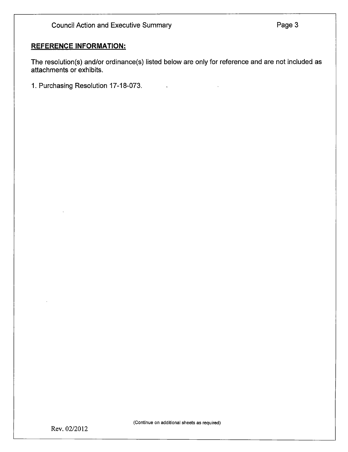# REFERENCE INFORMATION:

The resolution(s) and/or ordinance(s) listed below are only for reference and are not included as attachments or exhibits.

 $\sim$   $\lambda$ 

1. Purchasing Resolution 17-18-073.

Rev. 02/2012

Continue on additional sheets as required)